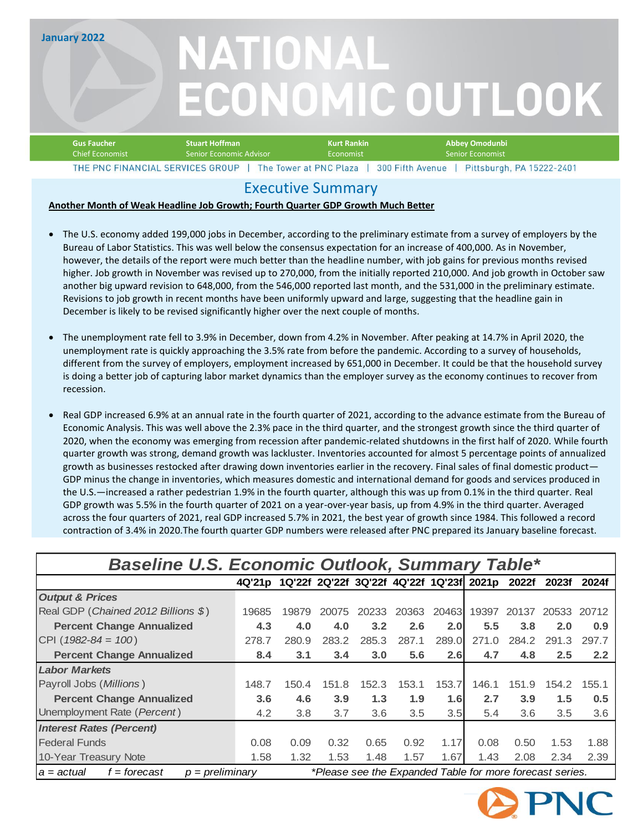**January 2022**

# NATIONAL **ECONOMIC OUTLOOK**

| Gus Faucher                      | <b>Stuart Hoffman</b>   | Kurt Rankin            | Abbev Omodunbi                               |  |  |  |  |
|----------------------------------|-------------------------|------------------------|----------------------------------------------|--|--|--|--|
| Chief Economist                  | Senior Economic Advisor | Economist              | ' Senior Economist                           |  |  |  |  |
| THE PNC FINANCIAL SERVICES GROUP |                         | The Tower at PNC Plaza | 300 Fifth Avenue   Pittsburgh, PA 15222-2401 |  |  |  |  |

### Executive Summary

#### **Another Month of Weak Headline Job Growth; Fourth Quarter GDP Growth Much Better**

- The U.S. economy added 199,000 jobs in December, according to the preliminary estimate from a survey of employers by the Bureau of Labor Statistics. This was well below the consensus expectation for an increase of 400,000. As in November, however, the details of the report were much better than the headline number, with job gains for previous months revised higher. Job growth in November was revised up to 270,000, from the initially reported 210,000. And job growth in October saw another big upward revision to 648,000, from the 546,000 reported last month, and the 531,000 in the preliminary estimate. Revisions to job growth in recent months have been uniformly upward and large, suggesting that the headline gain in December is likely to be revised significantly higher over the next couple of months.
- The unemployment rate fell to 3.9% in December, down from 4.2% in November. After peaking at 14.7% in April 2020, the unemployment rate is quickly approaching the 3.5% rate from before the pandemic. According to a survey of households, different from the survey of employers, employment increased by 651,000 in December. It could be that the household survey is doing a better job of capturing labor market dynamics than the employer survey as the economy continues to recover from recession.
- Real GDP increased 6.9% at an annual rate in the fourth quarter of 2021, according to the advance estimate from the Bureau of Economic Analysis. This was well above the 2.3% pace in the third quarter, and the strongest growth since the third quarter of 2020, when the economy was emerging from recession after pandemic-related shutdowns in the first half of 2020. While fourth quarter growth was strong, demand growth was lackluster. Inventories accounted for almost 5 percentage points of annualized growth as businesses restocked after drawing down inventories earlier in the recovery. Final sales of final domestic product— GDP minus the change in inventories, which measures domestic and international demand for goods and services produced in the U.S.—increased a rather pedestrian 1.9% in the fourth quarter, although this was up from 0.1% in the third quarter. Real GDP growth was 5.5% in the fourth quarter of 2021 on a year-over-year basis, up from 4.9% in the third quarter. Averaged across the four quarters of 2021, real GDP increased 5.7% in 2021, the best year of growth since 1984. This followed a record contraction of 3.4% in 2020.The fourth quarter GDP numbers were released after PNC prepared its January baseline forecast.

### *Baseline U.S. Economic Outlook, Summary Table\**

|                                                     | 4Q'21p 1Q'22f 2Q'22f 3Q'22f 4Q'22f 1Q'23f 2021p 2022f    |       |       |       |       |       |       |       | 2023f | 2024f |
|-----------------------------------------------------|----------------------------------------------------------|-------|-------|-------|-------|-------|-------|-------|-------|-------|
| <b>Output &amp; Prices</b>                          |                                                          |       |       |       |       |       |       |       |       |       |
| Real GDP (Chained 2012 Billions \$)                 | 19685                                                    | 19879 | 20075 | 20233 | 20363 | 20463 | 19397 | 20137 | 20533 | 20712 |
| <b>Percent Change Annualized</b>                    | 4.3                                                      | 4.0   | 4.0   | 3.2   | 2.6   | 2.0   | 5.5   | 3.8   | 2.0   | 0.9   |
| CPI ( $1982 - 84 = 100$ )                           | 278.7                                                    | 280.9 | 283.2 | 285.3 | 287.1 | 289.0 | 271.0 | 284.2 | 291.3 | 297.7 |
| <b>Percent Change Annualized</b>                    | 8.4                                                      | 3.1   | 3.4   | 3.0   | 5.6   | 2.6   | 4.7   | 4.8   | 2.5   | 2.2   |
| <b>Labor Markets</b>                                |                                                          |       |       |       |       |       |       |       |       |       |
| Payroll Jobs (Millions)                             | 148.7                                                    | 150.4 | 151.8 | 152.3 | 153.1 | 153.7 | 146.1 | 151.9 | 154.2 | 155.1 |
| <b>Percent Change Annualized</b>                    | 3.6                                                      | 4.6   | 3.9   | 1.3   | 1.9   | 1.6   | 2.7   | 3.9   | 1.5   | 0.5   |
| Unemployment Rate (Percent)                         | 4.2                                                      | 3.8   | 3.7   | 3.6   | 3.5   | 3.5   | 5.4   | 3.6   | 3.5   | 3.6   |
| <b>Interest Rates (Percent)</b>                     |                                                          |       |       |       |       |       |       |       |       |       |
| <b>Federal Funds</b>                                | 0.08                                                     | 0.09  | 0.32  | 0.65  | 0.92  | 1.17  | 0.08  | 0.50  | 1.53  | 1.88  |
| 10-Year Treasury Note                               | 1.58                                                     | 1.32  | 1.53  | 1.48  | 1.57  | 1.67  | 1.43  | 2.08  | 2.34  | 2.39  |
| $p = preliminary$<br>$f =$ forecast<br>$a = actual$ | *Please see the Expanded Table for more forecast series. |       |       |       |       |       |       |       |       |       |

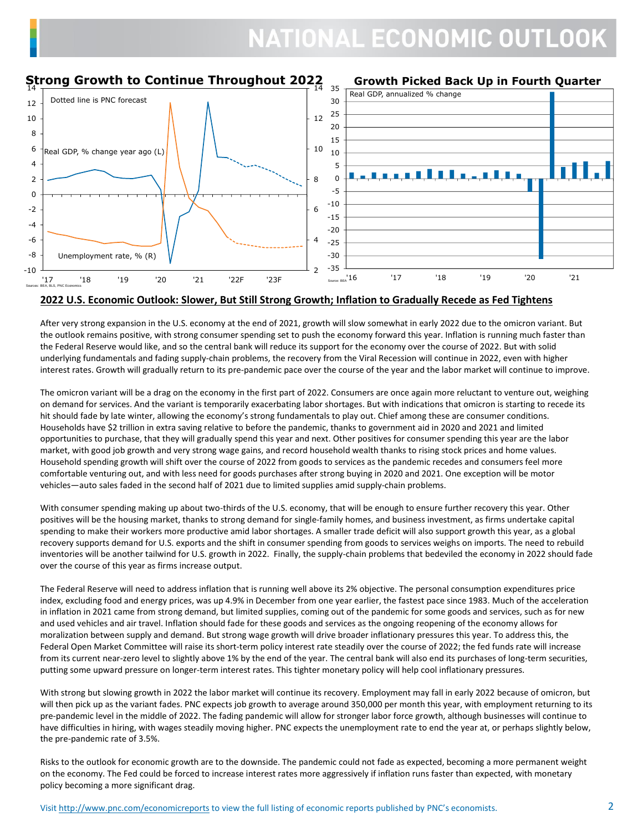#### **Strong Growth to Continue Throughout 2022** 14 14 **Growth Picked Back Up in Fourth Quarter** 35 Real GDP, annualized % changeDotted line is PNC forecast 30 12 25 10 12 20 8 15 6 10 Real GDP, % change year ago (L) 10 4 5 0 2 8 -5 0 -10  $-2$ 6 -15 -4 -20 -6 4  $-25$ -8 Unemployment rate, % (R) -30 -35  $-10$  $\overline{2}$ source: BEA<sup>'</sup>16 '17 '18 '19 '20 '21 '17 '18 '19 '20 '21 '22F '23F Sources: BEA, BLS, PNC Economics

#### **2022 U.S. Economic Outlook: Slower, But Still Strong Growth; Inflation to Gradually Recede as Fed Tightens**

After very strong expansion in the U.S. economy at the end of 2021, growth will slow somewhat in early 2022 due to the omicron variant. But the outlook remains positive, with strong consumer spending set to push the economy forward this year. Inflation is running much faster than the Federal Reserve would like, and so the central bank will reduce its support for the economy over the course of 2022. But with solid underlying fundamentals and fading supply-chain problems, the recovery from the Viral Recession will continue in 2022, even with higher interest rates. Growth will gradually return to its pre-pandemic pace over the course of the year and the labor market will continue to improve.

The omicron variant will be a drag on the economy in the first part of 2022. Consumers are once again more reluctant to venture out, weighing on demand for services. And the variant is temporarily exacerbating labor shortages. But with indications that omicron is starting to recede its hit should fade by late winter, allowing the economy's strong fundamentals to play out. Chief among these are consumer conditions. Households have \$2 trillion in extra saving relative to before the pandemic, thanks to government aid in 2020 and 2021 and limited opportunities to purchase, that they will gradually spend this year and next. Other positives for consumer spending this year are the labor market, with good job growth and very strong wage gains, and record household wealth thanks to rising stock prices and home values. Household spending growth will shift over the course of 2022 from goods to services as the pandemic recedes and consumers feel more comfortable venturing out, and with less need for goods purchases after strong buying in 2020 and 2021. One exception will be motor vehicles—auto sales faded in the second half of 2021 due to limited supplies amid supply-chain problems.

With consumer spending making up about two-thirds of the U.S. economy, that will be enough to ensure further recovery this year. Other positives will be the housing market, thanks to strong demand for single-family homes, and business investment, as firms undertake capital spending to make their workers more productive amid labor shortages. A smaller trade deficit will also support growth this year, as a global recovery supports demand for U.S. exports and the shift in consumer spending from goods to services weighs on imports. The need to rebuild inventories will be another tailwind for U.S. growth in 2022. Finally, the supply-chain problems that bedeviled the economy in 2022 should fade over the course of this year as firms increase output.

The Federal Reserve will need to address inflation that is running well above its 2% objective. The personal consumption expenditures price index, excluding food and energy prices, was up 4.9% in December from one year earlier, the fastest pace since 1983. Much of the acceleration in inflation in 2021 came from strong demand, but limited supplies, coming out of the pandemic for some goods and services, such as for new and used vehicles and air travel. Inflation should fade for these goods and services as the ongoing reopening of the economy allows for moralization between supply and demand. But strong wage growth will drive broader inflationary pressures this year. To address this, the Federal Open Market Committee will raise its short-term policy interest rate steadily over the course of 2022; the fed funds rate will increase from its current near-zero level to slightly above 1% by the end of the year. The central bank will also end its purchases of long-term securities, putting some upward pressure on longer-term interest rates. This tighter monetary policy will help cool inflationary pressures.

With strong but slowing growth in 2022 the labor market will continue its recovery. Employment may fall in early 2022 because of omicron, but will then pick up as the variant fades. PNC expects job growth to average around 350,000 per month this year, with employment returning to its pre-pandemic level in the middle of 2022. The fading pandemic will allow for stronger labor force growth, although businesses will continue to have difficulties in hiring, with wages steadily moving higher. PNC expects the unemployment rate to end the year at, or perhaps slightly below, the pre-pandemic rate of 3.5%.

Risks to the outlook for economic growth are to the downside. The pandemic could not fade as expected, becoming a more permanent weight on the economy. The Fed could be forced to increase interest rates more aggressively if inflation runs faster than expected, with monetary policy becoming a more significant drag.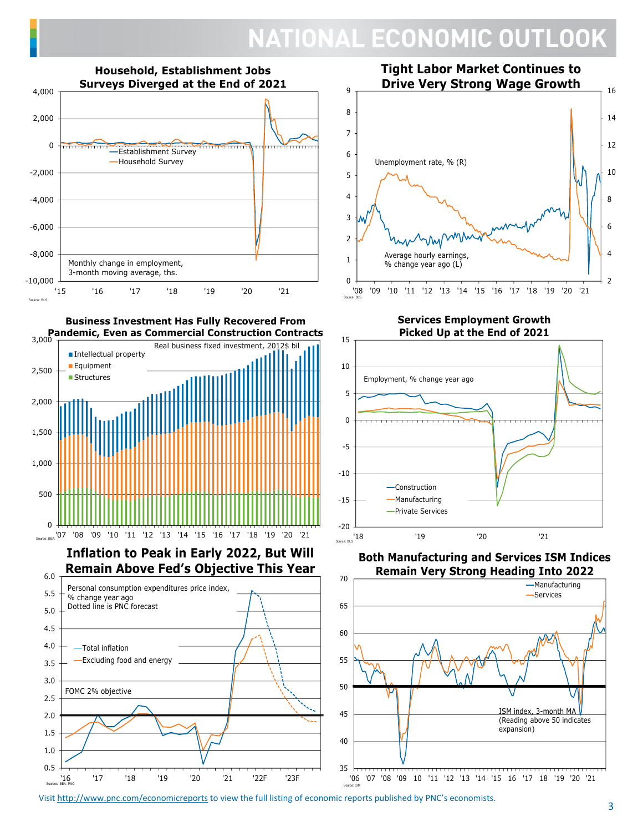

**Business Investment Has Fully Recovered From** 





**Services Employment Growth Picked Up at the End of 2021**



**Both Manufacturing and Services ISM Indices Remain Very Strong Heading Into 2022**



Visit <u>ht[tp://www.pnc.com/economicreports](http://www.pnc.com/economicreports)</u> to view the full listing of economic reports published by PNC's economists.

Source: ISM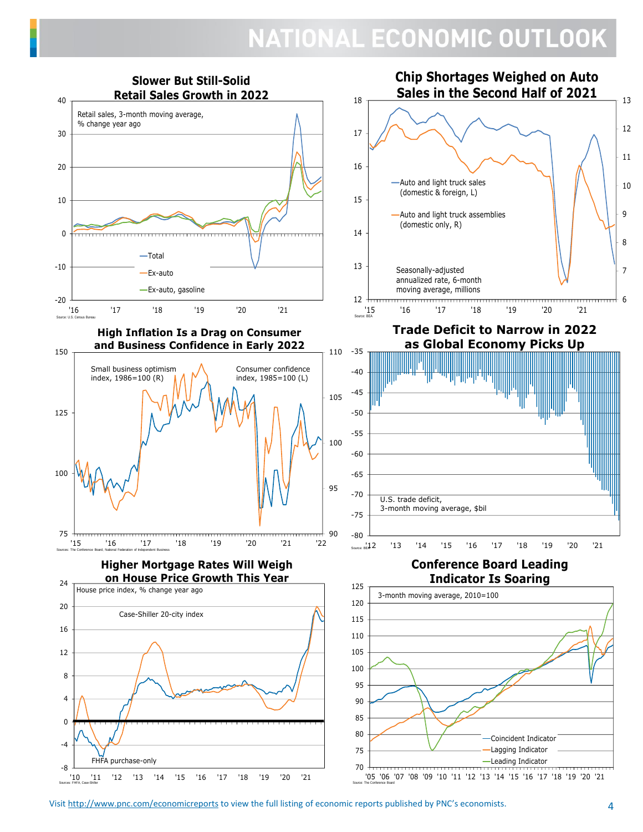

Visit<http://www.pnc.com/economicreports> to view the full listing of economic reports published by PNC's economists.